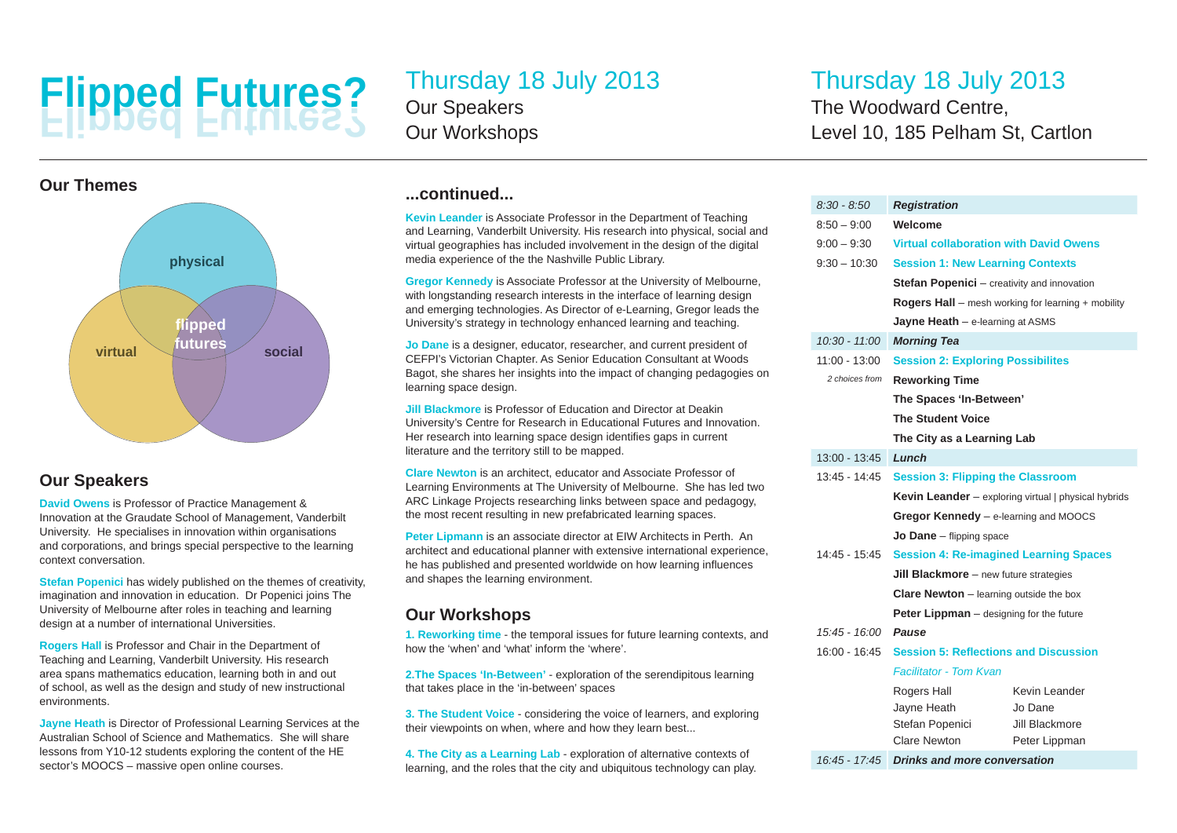# **Flipped Futures? Flipped Futures?**



## **Our Speakers**

**David Owens** is Professor of Practice Management & Innovation at the Graudate School of Management, Vanderbilt University. He specialises in innovation within organisations and corporations, and brings special perspective to the learning context conversation.

**Stefan Popenici** has widely published on the themes of creativity, imagination and innovation in education. Dr Popenici joins The University of Melbourne after roles in teaching and learning design at a number of international Universities.

**Rogers Hall** is Professor and Chair in the Department of Teaching and Learning, Vanderbilt University. His research area spans mathematics education, learning both in and out of school, as well as the design and study of new instructional environments.

**Jayne Heath** is Director of Professional Learning Services at the Australian School of Science and Mathematics. She will share lessons from Y10-12 students exploring the content of the HE sector's MOOCS – massive open online courses.

# Thursday 18 July 2013

Our Speakers Our Workshops

# Thursday 18 July 2013

The Woodward Centre, Level 10, 185 Pelham St, Cartlon

## **...continued...**

**Kevin Leander** is Associate Professor in the Department of Teaching and Learning, Vanderbilt University. His research into physical, social and virtual geographies has included involvement in the design of the digital media experience of the the Nashville Public Library.

**Gregor Kennedy** is Associate Professor at the University of Melbourne, with longstanding research interests in the interface of learning design and emerging technologies. As Director of e-Learning, Gregor leads the University's strategy in technology enhanced learning and teaching.

**Jo Dane** is a designer, educator, researcher, and current president of CEFPI's Victorian Chapter. As Senior Education Consultant at Woods Bagot, she shares her insights into the impact of changing pedagogies on learning space design.

**Jill Blackmore** is Professor of Education and Director at Deakin University's Centre for Research in Educational Futures and Innovation. Her research into learning space design identifies gaps in current literature and the territory still to be mapped.

**Clare Newton** is an architect, educator and Associate Professor of Learning Environments at The University of Melbourne. She has led two ARC Linkage Projects researching links between space and pedagogy, the most recent resulting in new prefabricated learning spaces.

**Peter Lipmann** is an associate director at EIW Architects in Perth. An architect and educational planner with extensive international experience, he has published and presented worldwide on how learning influences and shapes the learning environment.

## **Our Workshops**

**1. Reworking time** - the temporal issues for future learning contexts, and how the 'when' and 'what' inform the 'where'.

**2.The Spaces 'In-Between'** - exploration of the serendipitous learning that takes place in the 'in-between' spaces

**3. The Student Voice** - considering the voice of learners, and exploring their viewpoints on when, where and how they learn best...

**4. The City as a Learning Lab** - exploration of alternative contexts of learning, and the roles that the city and ubiquitous technology can play.

| $8.30 - 8.50$   | <b>Registration</b>                                                                                                                                                            |                                 |
|-----------------|--------------------------------------------------------------------------------------------------------------------------------------------------------------------------------|---------------------------------|
| $8:50 - 9:00$   | Welcome                                                                                                                                                                        |                                 |
| $9:00 - 9:30$   | <b>Virtual collaboration with David Owens</b>                                                                                                                                  |                                 |
| $9:30 - 10:30$  | <b>Session 1: New Learning Contexts</b>                                                                                                                                        |                                 |
|                 | <b>Stefan Popenici</b> – creativity and innovation                                                                                                                             |                                 |
|                 | <b>Rogers Hall</b> – mesh working for learning $+$ mobility                                                                                                                    |                                 |
|                 | Jayne Heath $-$ e-learning at ASMS                                                                                                                                             |                                 |
| $10.30 - 11.00$ | <b>Morning Tea</b>                                                                                                                                                             |                                 |
| 11:00 - 13:00   | <b>Session 2: Exploring Possibilites</b>                                                                                                                                       |                                 |
| 2 choices from  | <b>Reworking Time</b><br>The Spaces 'In-Between'<br><b>The Student Voice</b><br>The City as a Learning Lab                                                                     |                                 |
|                 |                                                                                                                                                                                |                                 |
|                 |                                                                                                                                                                                |                                 |
|                 |                                                                                                                                                                                |                                 |
| 13:00 - 13:45   | Lunch                                                                                                                                                                          |                                 |
| 13:45 - 14:45   | <b>Session 3: Flipping the Classroom</b><br>Kevin Leander - exploring virtual   physical hybrids<br>Gregor Kennedy - e-learning and MOOCS<br><b>Jo Dane</b> $-$ flipping space |                                 |
|                 |                                                                                                                                                                                |                                 |
|                 |                                                                                                                                                                                |                                 |
|                 |                                                                                                                                                                                |                                 |
| 14:45 - 15:45   | <b>Session 4: Re-imagined Learning Spaces</b>                                                                                                                                  |                                 |
|                 | <b>Jill Blackmore</b> $-$ new future strategies                                                                                                                                |                                 |
|                 | <b>Clare Newton</b> $-$ learning outside the box                                                                                                                               |                                 |
|                 | <b>Peter Lippman</b> – designing for the future                                                                                                                                |                                 |
| 15:45 - 16:00   | Pause                                                                                                                                                                          |                                 |
| 16:00 - 16:45   | <b>Session 5: Reflections and Discussion</b>                                                                                                                                   |                                 |
|                 | <b>Facilitator - Tom Kvan</b>                                                                                                                                                  |                                 |
|                 | Rogers Hall                                                                                                                                                                    | Kevin Leander                   |
|                 | Jayne Heath                                                                                                                                                                    | Jo Dane                         |
|                 | Stefan Popenici<br>Clare Newton                                                                                                                                                | Jill Blackmore<br>Peter Lippman |
| 16:45 - 17:45   | <b>Drinks and more conversation</b>                                                                                                                                            |                                 |
|                 |                                                                                                                                                                                |                                 |